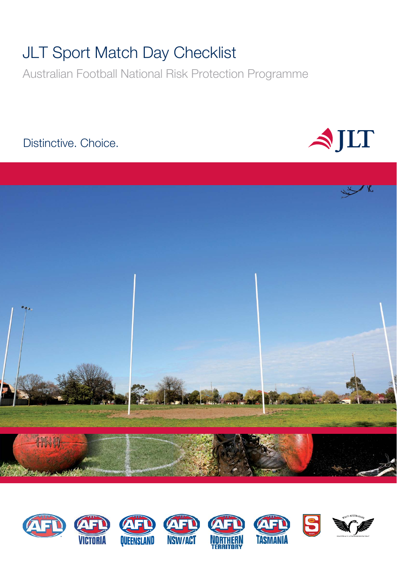# **JLT Sport Match Day Checklist**

Australian Football National Risk Protection Programme

# Distinctive. Choice.





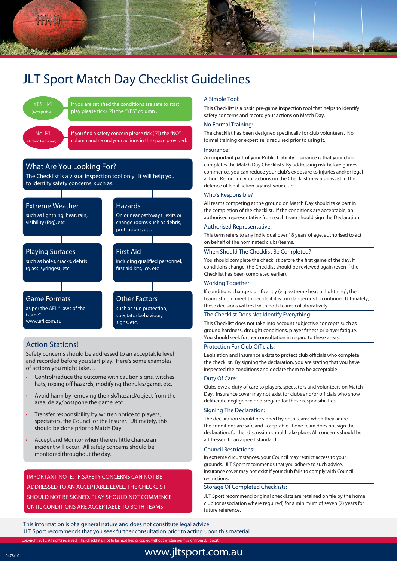

# JLT Sport Match Day Checklist Guidelines



If you are satisfied the conditions are safe to start play please tick ( $\overline{\omega}$ ) the "YES" column.

If you find a safety concern please tick ( $\boxtimes$ ) the "NO" column and record your actions in the space provided.

# **What Are You Looking For?**

The Checklist is a visual inspection tool only. It will help you to identify safety concerns, such as:

## **Extreme Weather**

such as lightning, heat, rain, visibility (fog), etc.

# **Playing Surfaces**

such as holes, cracks, debris (glass, syringes), etc.

#### **Hazards**

On or near pathways , exits or change rooms such as debris, protrusions, etc.

### **First Aid**

including qualified personnel, first aid kits, ice, etc

# **Game Formats**

as per the AFL "Laws of the Game" www.afl.com.au

**Other Factors** such as sun protection, spectator behaviour, signs, etc.

## **Action Stations!**

Safety concerns should be addressed to an acceptable level and recorded before you start play. Here's some examples of actions you might take…

- Control/reduce the outcome with caution signs, witches<br>hats, roping off hazards, modifying the rules/game, etc.
- t **Avoid harm by** removing the risk/hazard/object from the area, delay/postpone the game, etc.
- t **Transfer responsibility by** written notice to players, spectators, the Council or the Insurer. Ultimately, this should be done prior to Match Day.
- Accept and Monitor when there is little chance an incident will occur. All safety concerns should be monitored throughout the day.

**IMPORTANT NOTE:** IF SAFETY CONCERNS CAN NOT BE ADDRESSED TO AN ACCEPTABLE LEVEL, THE CHECKLIST SHOULD NOT BE SIGNED. PLAY SHOULD NOT COMMENCE UNTIL CONDITIONS ARE ACCEPTABLE TO BOTH TEAMS.

#### A Simple Tool:

This Checklist is a basic pre-game inspection tool that helps to identify safety concerns and record your actions on Match Day.

#### No Formal Training:

The checklist has been designed specifically for club volunteers. No formal training or expertise is required prior to using it.

#### Insurance:

An important part of your Public Liability Insurance is that your club completes the Match Day Checklists. By addressing risk before games commence, you can reduce your club's exposure to injuries and/or legal action. Recording your actions on the Checklist may also assist in the defence of legal action against your club.

#### Who's Responsible?

All teams competing at the ground on Match Day should take part in the completion of the checklist. If the conditions are acceptable, an authorised representative from each team should sign the Declaration.

#### Authorised Representative:

This term refers to any individual over 18 years of age, authorised to act on behalf of the nominated clubs/teams.

#### When Should The Checklist Be Completed?

You should complete the checklist before the first game of the day. If conditions change, the Checklist should be reviewed again (even if the Checklist has been completed earlier).

#### Working Together:

If conditions change significantly (e.g. extreme heat or lightning), the teams should meet to decide if it is too dangerous to continue. Ultimately, these decisions will rest with both teams collaboratively.

#### The Checklist Does Not Identify Everything:

This Checklist does not take into account subjective concepts such as ground hardness, drought conditions, player fitness or player fatigue. You should seek further consultation in regard to these areas.

#### Protection For Club Officials:

Legislation and insurance exists to protect club officials who complete the checklist. By signing the declaration, you are stating that you have inspected the conditions and declare them to be acceptable.

#### Duty Of Care:

Clubs owe a duty of care to players, spectators and volunteers on Match Day. Insurance cover may not exist for clubs and/or officials who show deliberate negligence or disregard for these responsibilities.

#### Signing The Declaration:

The declaration should be signed by both teams when they agree the conditions are safe and acceptable. If one team does not sign the declaration, further discussion should take place. All concerns should be addressed to an agreed standard.

#### Council Restrictions:

In extreme circumstances, your Council may restrict access to your grounds. JLT Sport recommends that you adhere to such advice. Insurance cover may not exist if your club fails to comply with Council restrictions.

#### Storage Of Completed Checklists:

JLT Sport recommend original checklists are retained on file by the home club (or association where required) for a minimum of seven (7) years for future reference.

This information is of a general nature and does not constitute legal advice.

JLT Sport recommends that you seek further consultation prior to acting upon this material.

Copyright 2010. All rights reserved. This checklist is not to be modified or copied without written permission from JLT Sport.